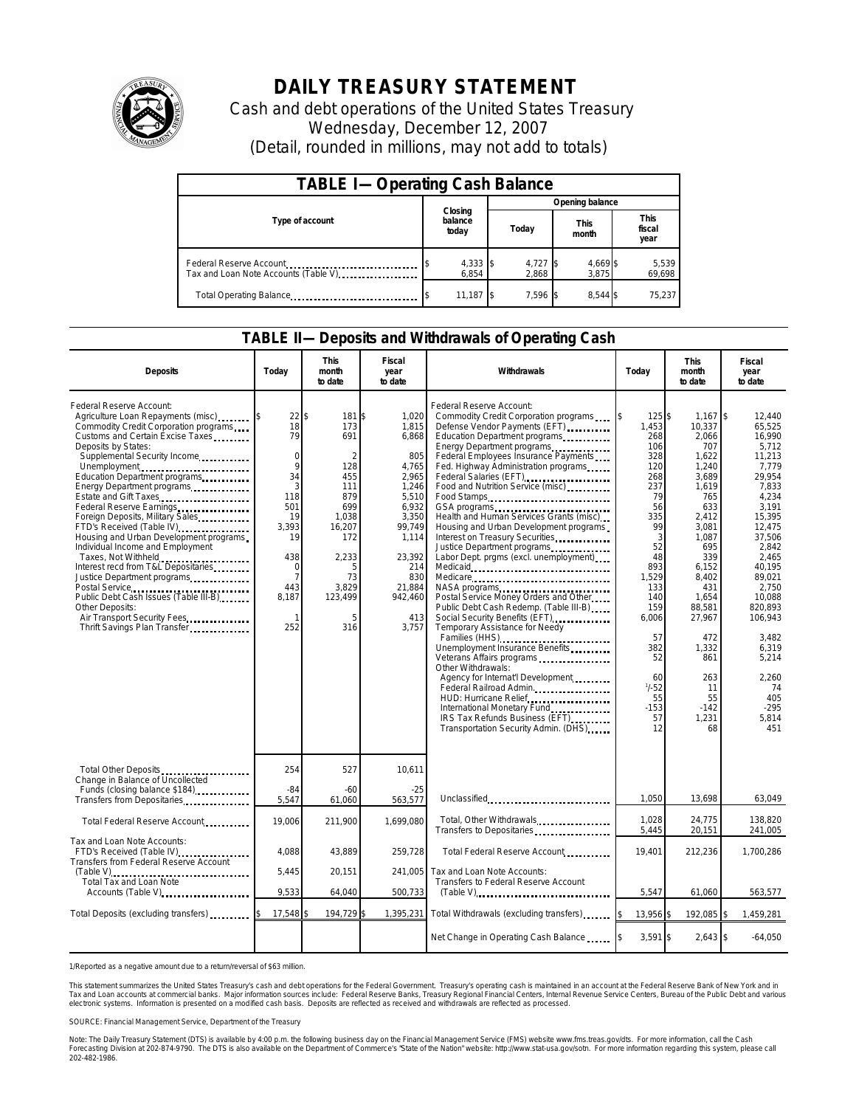

## **DAILY TREASURY STATEMENT**

Cash and debt operations of the United States Treasury Wednesday, December 12, 2007 (Detail, rounded in millions, may not add to totals)

| <b>TABLE I-Operating Cash Balance</b>                           |                             |                   |                      |                               |  |  |  |
|-----------------------------------------------------------------|-----------------------------|-------------------|----------------------|-------------------------------|--|--|--|
|                                                                 |                             | Opening balance   |                      |                               |  |  |  |
| Type of account                                                 | Closing<br>balance<br>today | Today             | <b>This</b><br>month | <b>This</b><br>fiscal<br>year |  |  |  |
| Federal Reserve Account<br>Tax and Loan Note Accounts (Table V) | 4,333 \$<br>6.854           | 4,727 \$<br>2.868 | 4,669<br>3.875       | 5,539<br>69,698               |  |  |  |
| Total Operating Balance                                         | 11,187                      | $7.596$ \$        |                      | 75.237                        |  |  |  |

## **TABLE II—Deposits and Withdrawals of Operating Cash**

| <b>Deposits</b>                                                                                                                                                                                                                                                                                                                                                                                                                                                                                                                                                                                                                                                                                      | Todav                                                                                                                                           | <b>This</b><br>month<br>to date                                                                                                          | <b>Fiscal</b><br>year<br>to date                                                                                                                                           | Withdrawals                                                                                                                                                                                                                                                                                                                                                                                                                                                                                                                                                                                                                                                                                                                                                                                                                                                                                                                                                                                                                     | Today                                                                                                                                                                                                             | <b>This</b><br>month<br>to date                                                                                                                                                                                                                     | Fiscal<br>year<br>to date                                                                                                                                                                                                                                                                 |
|------------------------------------------------------------------------------------------------------------------------------------------------------------------------------------------------------------------------------------------------------------------------------------------------------------------------------------------------------------------------------------------------------------------------------------------------------------------------------------------------------------------------------------------------------------------------------------------------------------------------------------------------------------------------------------------------------|-------------------------------------------------------------------------------------------------------------------------------------------------|------------------------------------------------------------------------------------------------------------------------------------------|----------------------------------------------------------------------------------------------------------------------------------------------------------------------------|---------------------------------------------------------------------------------------------------------------------------------------------------------------------------------------------------------------------------------------------------------------------------------------------------------------------------------------------------------------------------------------------------------------------------------------------------------------------------------------------------------------------------------------------------------------------------------------------------------------------------------------------------------------------------------------------------------------------------------------------------------------------------------------------------------------------------------------------------------------------------------------------------------------------------------------------------------------------------------------------------------------------------------|-------------------------------------------------------------------------------------------------------------------------------------------------------------------------------------------------------------------|-----------------------------------------------------------------------------------------------------------------------------------------------------------------------------------------------------------------------------------------------------|-------------------------------------------------------------------------------------------------------------------------------------------------------------------------------------------------------------------------------------------------------------------------------------------|
| Federal Reserve Account:<br>Agriculture Loan Repayments (misc)<br>Commodity Credit Corporation programs<br>Customs and Certain Excise Taxes<br>Deposits by States:<br>Supplemental Security Income<br>Unemployment<br>Education Department programs<br>Energy Department programs<br>Estate and Gift Taxes<br>Foreign Deposits, Military Sales<br>FTD's Received (Table IV).<br>Housing and Urban Development programs<br>Individual Income and Employment<br>Taxes, Not Withheld<br>Interest recd from T&L Depositaries<br>Justice Department programs<br>Postal Service<br>Public Debt Cash Issues (Table III-B)<br>Other Deposits:<br>Air Transport Security Fees<br>Thrift Savings Plan Transfer | 22<br>18<br>79<br>$\mathbf 0$<br>9<br>34<br>3<br>118<br>501<br>19<br>3,393<br>19<br>438<br>$\mathbf 0$<br>$\overline{7}$<br>443<br>8,187<br>252 | \$<br>181<br>173<br>691<br>128<br>455<br>111<br>879<br>699<br>1,038<br>16,207<br>172<br>2,233<br>5<br>73<br>3,829<br>123,499<br>5<br>316 | 1,020<br>\$<br>1,815<br>6,868<br>805<br>4,765<br>2.965<br>1,246<br>5,510<br>6,932<br>3,350<br>99,749<br>1,114<br>23,392<br>214<br>830<br>21.884<br>942,460<br>413<br>3.757 | Federal Reserve Account:<br>Commodity Credit Corporation programs<br>Defense Vendor Payments (EFT)<br>Education Department programs<br>Energy Department programs<br>Federal Employees Insurance Payments<br>Fed. Highway Administration programs<br>Federal Salaries (EFT)<br>Food and Nutrition Service (misc)<br>Food Stamps<br>Health and Human Services Grants (misc)<br>Housing and Urban Development programs<br>Interest on Treasury Securities.<br>Justice Department programs<br>Labor Dept. prgms (excl. unemployment)<br>Medicare<br>NASA programs<br>Postal Service Money Orders and Other<br>Public Debt Cash Redemp. (Table III-B)<br>Social Security Benefits (EFT)<br>Temporary Assistance for Needy<br>Families (HHS)<br>Unemployment Insurance Benefits<br>Veterans Affairs programs<br>Other Withdrawals:<br>Agency for Internat'l Development<br>Federal Railroad Admin.<br>HUD: Hurricane Relief<br>International Monetary Fund<br>IRS Tax Refunds Business (EFT)<br>Transportation Security Admin. (DHS) | 125S<br>1,453<br>268<br>106<br>328<br>120<br>268<br>237<br>79<br>56<br>335<br>99<br>3<br>52<br>48<br>893<br>1,529<br>133<br>140<br>159<br>6,006<br>57<br>382<br>52<br>60<br>$1/ - 52$<br>55<br>$-153$<br>57<br>12 | 1.167<br>10,337<br>2,066<br>707<br>1,622<br>1,240<br>3,689<br>1,619<br>765<br>633<br>2,412<br>3,081<br>1,087<br>695<br>339<br>6,152<br>8,402<br>431<br>1,654<br>88,581<br>27,967<br>472<br>1,332<br>861<br>263<br>11<br>55<br>$-142$<br>1,231<br>68 | \$<br>12.440<br>65,525<br>16,990<br>5,712<br>11.213<br>7.779<br>29,954<br>7.833<br>4,234<br>3,191<br>15,395<br>12,475<br>37,506<br>2.842<br>2,465<br>40,195<br>89,021<br>2,750<br>10,088<br>820.893<br>106,943<br>3,482<br>6,319<br>5,214<br>2,260<br>74<br>405<br>$-295$<br>5,814<br>451 |
| Total Other Deposits<br>Change in Balance of Uncollected                                                                                                                                                                                                                                                                                                                                                                                                                                                                                                                                                                                                                                             | 254<br>$-84$                                                                                                                                    | 527                                                                                                                                      | 10,611                                                                                                                                                                     |                                                                                                                                                                                                                                                                                                                                                                                                                                                                                                                                                                                                                                                                                                                                                                                                                                                                                                                                                                                                                                 |                                                                                                                                                                                                                   |                                                                                                                                                                                                                                                     |                                                                                                                                                                                                                                                                                           |
| Funds (closing balance \$184)<br>Transfers from Depositaries                                                                                                                                                                                                                                                                                                                                                                                                                                                                                                                                                                                                                                         | 5,547                                                                                                                                           | $-60$<br>61,060                                                                                                                          | $-25$<br>563,577                                                                                                                                                           | Unclassified                                                                                                                                                                                                                                                                                                                                                                                                                                                                                                                                                                                                                                                                                                                                                                                                                                                                                                                                                                                                                    | 1,050                                                                                                                                                                                                             | 13,698                                                                                                                                                                                                                                              | 63,049                                                                                                                                                                                                                                                                                    |
| Total Federal Reserve Account                                                                                                                                                                                                                                                                                                                                                                                                                                                                                                                                                                                                                                                                        | 19,006                                                                                                                                          | 211,900                                                                                                                                  | 1.699.080                                                                                                                                                                  | Total, Other Withdrawals<br>Transfers to Depositaries                                                                                                                                                                                                                                                                                                                                                                                                                                                                                                                                                                                                                                                                                                                                                                                                                                                                                                                                                                           | 1.028<br>5,445                                                                                                                                                                                                    | 24,775<br>20,151                                                                                                                                                                                                                                    | 138,820<br>241,005                                                                                                                                                                                                                                                                        |
| Tax and Loan Note Accounts:<br>FTD's Received (Table IV)<br>Transfers from Federal Reserve Account                                                                                                                                                                                                                                                                                                                                                                                                                                                                                                                                                                                                   | 4,088                                                                                                                                           | 43,889                                                                                                                                   | 259,728                                                                                                                                                                    | Total Federal Reserve Account                                                                                                                                                                                                                                                                                                                                                                                                                                                                                                                                                                                                                                                                                                                                                                                                                                                                                                                                                                                                   | 19,401                                                                                                                                                                                                            | 212,236                                                                                                                                                                                                                                             | 1,700,286                                                                                                                                                                                                                                                                                 |
| Total Tax and Loan Note                                                                                                                                                                                                                                                                                                                                                                                                                                                                                                                                                                                                                                                                              | 5,445                                                                                                                                           | 20,151                                                                                                                                   | 241,005                                                                                                                                                                    | Tax and Loan Note Accounts:<br>Transfers to Federal Reserve Account                                                                                                                                                                                                                                                                                                                                                                                                                                                                                                                                                                                                                                                                                                                                                                                                                                                                                                                                                             |                                                                                                                                                                                                                   |                                                                                                                                                                                                                                                     |                                                                                                                                                                                                                                                                                           |
| Accounts (Table V)                                                                                                                                                                                                                                                                                                                                                                                                                                                                                                                                                                                                                                                                                   | 9,533                                                                                                                                           | 64,040                                                                                                                                   | 500,733                                                                                                                                                                    |                                                                                                                                                                                                                                                                                                                                                                                                                                                                                                                                                                                                                                                                                                                                                                                                                                                                                                                                                                                                                                 | 5,547                                                                                                                                                                                                             | 61,060                                                                                                                                                                                                                                              | 563,577                                                                                                                                                                                                                                                                                   |
| Total Deposits (excluding transfers) [1000]                                                                                                                                                                                                                                                                                                                                                                                                                                                                                                                                                                                                                                                          | 17,548                                                                                                                                          | 194,729 \$                                                                                                                               |                                                                                                                                                                            | 1,395,231 Total Withdrawals (excluding transfers)                                                                                                                                                                                                                                                                                                                                                                                                                                                                                                                                                                                                                                                                                                                                                                                                                                                                                                                                                                               | 13,956<br>I\$                                                                                                                                                                                                     | 192,085 \$                                                                                                                                                                                                                                          | 1,459,281                                                                                                                                                                                                                                                                                 |
|                                                                                                                                                                                                                                                                                                                                                                                                                                                                                                                                                                                                                                                                                                      |                                                                                                                                                 |                                                                                                                                          |                                                                                                                                                                            | Net Change in Operating Cash Balance                                                                                                                                                                                                                                                                                                                                                                                                                                                                                                                                                                                                                                                                                                                                                                                                                                                                                                                                                                                            | 3,591 \$                                                                                                                                                                                                          | $2,643$ \$                                                                                                                                                                                                                                          | $-64,050$                                                                                                                                                                                                                                                                                 |

1/Reported as a negative amount due to a return/reversal of \$63 million.

This statement summarizes the United States Treasury's cash and debt operations for the Federal Government. Treasury's operating cash is maintained in an account at the Federal Reserve Bank of New York and in<br>Tax and Loan narizes the United States Treasury's cash and debt operations for the Federal Government. Treasury's operating cash is maintained in an account at the Federal Reserve Bank of New York and in<br>nts at commercial banks. Major

SOURCE: Financial Management Service, Department of the Treasury

Note: The Daily Treasury Statement (DTS) is available by 4:00 p.m. the following business day on the Financial Management Service (FMS) website www.fms.treas.gov/dts. For more information, call the Cash<br>Forecasting Divisio 202-482-1986.